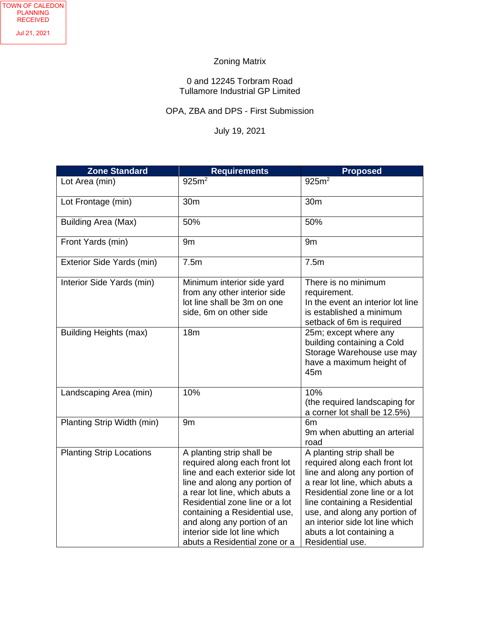## Zoning Matrix

## 0 and 12245 Torbram Road Tullamore Industrial GP Limited

## OPA, ZBA and DPS - First Submission

## July 19, 2021

| <b>Zone Standard</b>            | <b>Requirements</b>                                                                                                                                                                                                                                                                                                                 | <b>Proposed</b>                                                                                                                                                                                                                                                                                                      |
|---------------------------------|-------------------------------------------------------------------------------------------------------------------------------------------------------------------------------------------------------------------------------------------------------------------------------------------------------------------------------------|----------------------------------------------------------------------------------------------------------------------------------------------------------------------------------------------------------------------------------------------------------------------------------------------------------------------|
| Lot Area (min)                  | $925m^2$                                                                                                                                                                                                                                                                                                                            | 925m <sup>2</sup>                                                                                                                                                                                                                                                                                                    |
| Lot Frontage (min)              | 30 <sub>m</sub>                                                                                                                                                                                                                                                                                                                     | 30 <sub>m</sub>                                                                                                                                                                                                                                                                                                      |
| <b>Building Area (Max)</b>      | 50%                                                                                                                                                                                                                                                                                                                                 | 50%                                                                                                                                                                                                                                                                                                                  |
| Front Yards (min)               | 9 <sub>m</sub>                                                                                                                                                                                                                                                                                                                      | 9 <sub>m</sub>                                                                                                                                                                                                                                                                                                       |
| Exterior Side Yards (min)       | 7.5m                                                                                                                                                                                                                                                                                                                                | 7.5m                                                                                                                                                                                                                                                                                                                 |
| Interior Side Yards (min)       | Minimum interior side yard<br>from any other interior side<br>lot line shall be 3m on one<br>side, 6m on other side                                                                                                                                                                                                                 | There is no minimum<br>requirement.<br>In the event an interior lot line<br>is established a minimum<br>setback of 6m is required                                                                                                                                                                                    |
| <b>Building Heights (max)</b>   | 18 <sub>m</sub>                                                                                                                                                                                                                                                                                                                     | 25m; except where any<br>building containing a Cold<br>Storage Warehouse use may<br>have a maximum height of<br>45m                                                                                                                                                                                                  |
| Landscaping Area (min)          | 10%                                                                                                                                                                                                                                                                                                                                 | 10%<br>(the required landscaping for<br>a corner lot shall be 12.5%)                                                                                                                                                                                                                                                 |
| Planting Strip Width (min)      | 9m                                                                                                                                                                                                                                                                                                                                  | 6 <sub>m</sub><br>9m when abutting an arterial<br>road                                                                                                                                                                                                                                                               |
| <b>Planting Strip Locations</b> | A planting strip shall be<br>required along each front lot<br>line and each exterior side lot<br>line and along any portion of<br>a rear lot line, which abuts a<br>Residential zone line or a lot<br>containing a Residential use,<br>and along any portion of an<br>interior side lot line which<br>abuts a Residential zone or a | A planting strip shall be<br>required along each front lot<br>line and along any portion of<br>a rear lot line, which abuts a<br>Residential zone line or a lot<br>line containing a Residential<br>use, and along any portion of<br>an interior side lot line which<br>abuts a lot containing a<br>Residential use. |